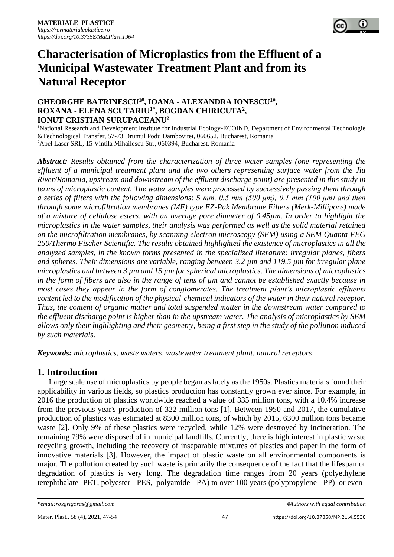

# **Characterisation of Microplastics from the Effluent of a Municipal Wastewater Treatment Plant and from its Natural Receptor**

## **GHEORGHE BATRINESCU1#, IOANA - ALEXANDRA IONESCU1# , ROXANA - ELENA SCUTARIU1\*, BOGDAN CHIRICUTA<sup>2</sup> , IONUT CRISTIAN SURUPACEANU<sup>2</sup>**

<sup>1</sup>National Research and Development Institute for Industrial Ecology-ECOIND, Department of Environmental Technologie &Technological Transfer, 57-73 Drumul Podu Dambovitei, 060652, Bucharest, Romania <sup>2</sup>Apel Laser SRL, 15 Vintila Mihailescu Str., 060394, Bucharest, Romania

*Abstract: Results obtained from the characterization of three water samples (one representing the effluent of a municipal treatment plant and the two others representing surface water from the Jiu River/Romania, upstream and downstream of the effluent discharge point) are presented in this study in terms of microplastic content. The water samples were processed by successively passing them through a series of filters with the following dimensions: 5 mm, 0.5 mm (500 μm), 0.1 mm (100 μm) and then through some microfiltration membranes (MF) type EZ-Pak Membrane Filters (Merk-Millipore) made of a mixture of cellulose esters, with an average pore diameter of 0.45µm. In order to highlight the microplastics in the water samples, their analysis was performed as well as the solid material retained on the microfiltration membranes, by scanning electron microscopy (SEM) using a SEM Quanta FEG 250/Thermo Fischer Scientific. The results obtained highlighted the existence of microplastics in all the analyzed samples, in the known forms presented in the specialized literature: irregular planes, fibers and spheres. Their dimensions are variable, ranging between 3.2 µm and 119.5 µm for irregular plane microplastics and between 3 µm and 15 µm for spherical microplastics. The dimensions of microplastics in the form of fibers are also in the range of tens of µm and cannot be established exactly because in most cases they appear in the form of conglomerates. The treatment plant's microplastic effluents content led to the modification of the physical-chemical indicators of the water in their natural receptor. Thus, the content of organic matter and total suspended matter in the downstream water compared to the effluent discharge point is higher than in the upstream water. The analysis of microplastics by SEM allows only their highlighting and their geometry, being a first step in the study of the pollution induced by such materials.*

*Keywords: microplastics, waste waters, wastewater treatment plant, natural receptors*

## **1. Introduction**

Large scale use of microplastics by people began as lately as the 1950s. Plastics materials found their applicability in various fields, so plastics production has constantly grown ever since. For example, in 2016 the production of plastics worldwide reached a value of 335 million tons, with a 10.4% increase from the previous year's production of 322 million tons [1]. Between 1950 and 2017, the cumulative production of plastics was estimated at 8300 million tons, of which by 2015, 6300 million tons became waste [2]. Only 9% of these plastics were recycled, while 12% were destroyed by incineration. The remaining 79% were disposed of in municipal landfills. Currently, there is high interest in plastic waste recycling growth, including the recovery of inseparable mixtures of plastics and paper in the form of innovative materials [3]. However, the impact of plastic waste on all environmental components is major. The pollution created by such waste is primarily the consequence of the fact that the lifespan or degradation of plastics is very long. The degradation time ranges from 20 years (polyethylene terephthalate -PET, polyester - PES, polyamide - PA) to over 100 years (polypropylene - PP) or even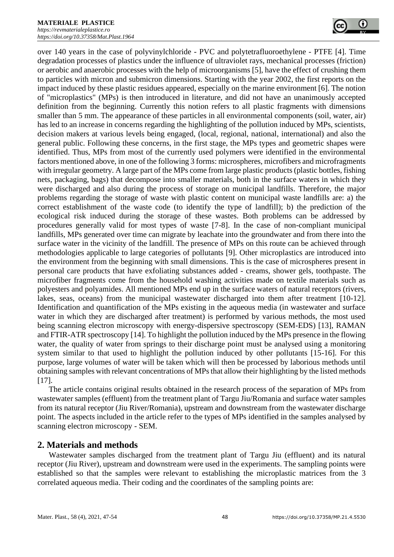

over 140 years in the case of polyvinylchloride - PVC and polytetrafluoroethylene - PTFE [4]. Time degradation processes of plastics under the influence of ultraviolet rays, mechanical processes (friction) or aerobic and anaerobic processes with the help of microorganisms [5], have the effect of crushing them to particles with micron and submicron dimensions. Starting with the year 2002, the first reports on the impact induced by these plastic residues appeared, especially on the marine environment [6]. The notion of "microplastics" (MPs) is then introduced in literature, and did not have an unanimously accepted definition from the beginning. Currently this notion refers to all plastic fragments with dimensions smaller than 5 mm. The appearance of these particles in all environmental components (soil, water, air) has led to an increase in concerns regarding the highlighting of the pollution induced by MPs, scientists, decision makers at various levels being engaged, (local, regional, national, international) and also the general public. Following these concerns, in the first stage, the MPs types and geometric shapes were identified. Thus, MPs from most of the currently used polymers were identified in the environmental factors mentioned above, in one of the following 3 forms: microspheres, microfibers and microfragments with irregular geometry. A large part of the MPs come from large plastic products (plastic bottles, fishing nets, packaging, bags) that decompose into smaller materials, both in the surface waters in which they were discharged and also during the process of storage on municipal landfills. Therefore, the major problems regarding the storage of waste with plastic content on municipal waste landfills are: a) the correct establishment of the waste code (to identify the type of landfill); b) the prediction of the ecological risk induced during the storage of these wastes. Both problems can be addressed by procedures generally valid for most types of waste [7-8]. In the case of non-compliant municipal landfills, MPs generated over time can migrate by leachate into the groundwater and from there into the surface water in the vicinity of the landfill. The presence of MPs on this route can be achieved through methodologies applicable to large categories of pollutants [9]. Other microplastics are introduced into the environment from the beginning with small dimensions. This is the case of microspheres present in personal care products that have exfoliating substances added - creams, shower gels, toothpaste. The microfiber fragments come from the household washing activities made on textile materials such as polyesters and polyamides. All mentioned MPs end up in the surface waters of natural receptors (rivers, lakes, seas, oceans) from the municipal wastewater discharged into them after treatment [10-12]. Identification and quantification of the MPs existing in the aqueous media (in wastewater and surface water in which they are discharged after treatment) is performed by various methods, the most used being scanning electron microscopy with energy-dispersive spectroscopy (SEM-EDS) [13], RAMAN and FTIR-ATR spectroscopy [14]. To highlight the pollution induced by the MPs presence in the flowing water, the quality of water from springs to their discharge point must be analysed using a monitoring system similar to that used to highlight the pollution induced by other pollutants [15-16]. For this purpose, large volumes of water will be taken which will then be processed by laborious methods until obtaining samples with relevant concentrations of MPs that allow their highlighting by the listed methods [17].

The article contains original results obtained in the research process of the separation of MPs from wastewater samples (effluent) from the treatment plant of Targu Jiu/Romania and surface water samples from its natural receptor (Jiu River/Romania), upstream and downstream from the wastewater discharge point. The aspects included in the article refer to the types of MPs identified in the samples analysed by scanning electron microscopy - SEM.

## **2. Materials and methods**

Wastewater samples discharged from the treatment plant of Targu Jiu (effluent) and its natural receptor (Jiu River), upstream and downstream were used in the experiments. The sampling points were established so that the samples were relevant to establishing the microplastic matrices from the 3 correlated aqueous media. Their coding and the coordinates of the sampling points are: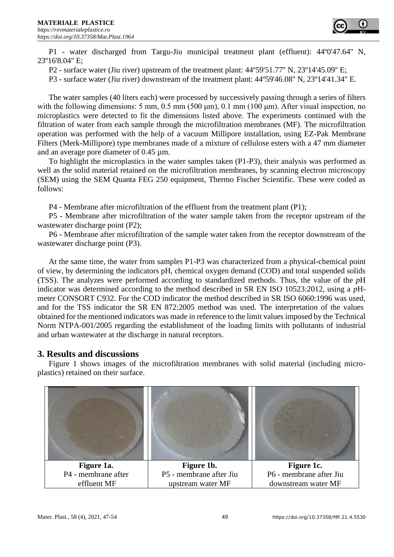P1 - water discharged from Targu-Jiu municipal treatment plant (effluent): 44º0'47.64'' N, 23º16'8.04'' E;

P2 - surface water (Jiu river) upstream of the treatment plant: 44º59'51.77'' N, 23º14'45.09'' E;

P3 - surface water (Jiu river) downstream of the treatment plant: 44º59'46.08'' N, 23º14'41.34'' E.

The water samples (40 liters each) were processed by successively passing through a series of filters with the following dimensions: 5 mm, 0.5 mm (500 μm), 0.1 mm (100 μm). After visual inspection, no microplastics were detected to fit the dimensions listed above. The experiments continued with the filtration of water from each sample through the microfiltration membranes (MF). The microfiltration operation was performed with the help of a vacuum Millipore installation, using EZ-Pak Membrane Filters (Merk-Millipore) type membranes made of a mixture of cellulose esters with a 47 mm diameter and an average pore diameter of 0.45 µm.

To highlight the microplastics in the water samples taken (P1-P3), their analysis was performed as well as the solid material retained on the microfiltration membranes, by scanning electron microscopy (SEM) using the SEM Quanta FEG 250 equipment, Thermo Fischer Scientific. These were coded as follows:

P4 - Membrane after microfiltration of the effluent from the treatment plant (P1);

P5 - Membrane after microfiltration of the water sample taken from the receptor upstream of the wastewater discharge point (P2);

P6 - Membrane after microfiltration of the sample water taken from the receptor downstream of the wastewater discharge point (P3).

At the same time, the water from samples P1-P3 was characterized from a physical-chemical point of view, by determining the indicators pH, chemical oxygen demand (COD) and total suspended solids (TSS). The analyzes were performed according to standardized methods. Thus, the value of the *p*H indicator was determined according to the method described in SR EN ISO 10523:2012, using a *p*Hmeter CONSORT C932. For the COD indicator the method described in SR ISO 6060:1996 was used, and for the TSS indicator the SR EN 872:2005 method was used. The interpretation of the values obtained for the mentioned indicators was made in reference to the limit values imposed by the Technical Norm NTPA-001/2005 regarding the establishment of the loading limits with pollutants of industrial and urban wastewater at the discharge in natural receptors.

## **3. Results and discussions**

Figure 1 shows images of the microfiltration membranes with solid material (including microplastics) retained on their surface.

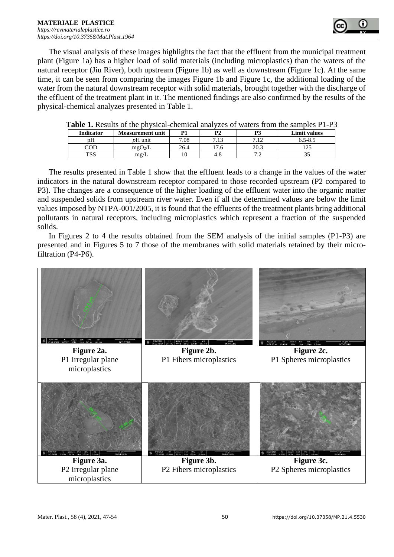

The visual analysis of these images highlights the fact that the effluent from the municipal treatment plant (Figure 1a) has a higher load of solid materials (including microplastics) than the waters of the natural receptor (Jiu River), both upstream (Figure 1b) as well as downstream (Figure 1c). At the same time, it can be seen from comparing the images Figure 1b and Figure 1c, the additional loading of the water from the natural downstream receptor with solid materials, brought together with the discharge of the effluent of the treatment plant in it. The mentioned findings are also confirmed by the results of the physical-chemical analyzes presented in Table 1.

| <b>L'able 1.</b> Nesults di the physical-chemical analyzes of waters from the samples F 1-F 3 |                         |      |      |      |              |
|-----------------------------------------------------------------------------------------------|-------------------------|------|------|------|--------------|
| <b>Indicator</b>                                                                              | <b>Measurement unit</b> |      |      |      | Limit values |
| pΗ                                                                                            | <i>p</i> H unit         | 7.08 | 7.13 |      | $6.5 - 8.5$  |
| COD                                                                                           | mgO <sub>2</sub> /L     | 26.4 | 7.6  | 20.3 |              |
| TSS                                                                                           | mg/L                    |      |      |      |              |

The results presented in Table 1 show that the effluent leads to a change in the values of the water indicators in the natural downstream receptor compared to those recorded upstream (P2 compared to P3). The changes are a consequence of the higher loading of the effluent water into the organic matter and suspended solids from upstream river water. Even if all the determined values are below the limit values imposed by NTPA-001/2005, it is found that the effluents of the treatment plants bring additional pollutants in natural receptors, including microplastics which represent a fraction of the suspended solids.

In Figures 2 to 4 the results obtained from the SEM analysis of the initial samples (P1-P3) are presented and in Figures 5 to 7 those of the membranes with solid materials retained by their microfiltration (P4-P6).

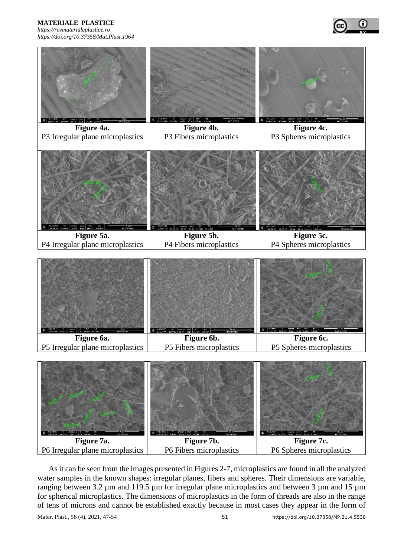**MATERIALE PLASTICE**  *[https://revmaterialeplastice.ro](https://revmaterialeplastice.ro/) https://doi.org/10.37358/Mat.Plast.1964*





As it can be seen from the images presented in Figures 2-7, microplastics are found in all the analyzed water samples in the known shapes: irregular planes, fibers and spheres. Their dimensions are variable, ranging between 3.2 µm and 119.5 µm for irregular plane microplastics and between 3 µm and 15 µm for spherical microplastics. The dimensions of microplastics in the form of threads are also in the range of tens of microns and cannot be established exactly because in most cases they appear in the form of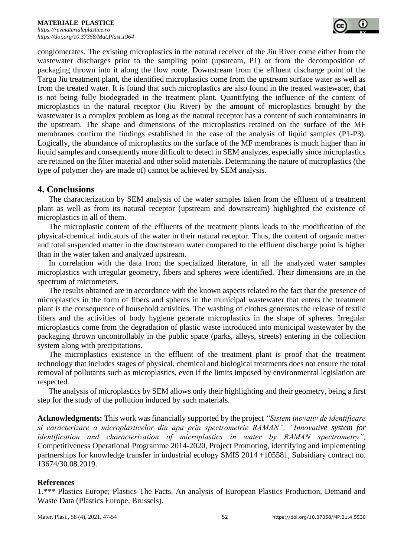conglomerates. The existing microplastics in the natural receiver of the Jiu River come either from the wastewater discharges prior to the sampling point (upstream, P1) or from the decomposition of packaging thrown into it along the flow route. Downstream from the effluent discharge point of the Targu Jiu treatment plant, the identified microplastics come from the upstream surface water as well as from the treated water. It is found that such microplastics are also found in the treated wastewater, that is not being fully biodegraded in the treatment plant. Quantifying the influence of the content of microplastics in the natural receptor (Jiu River) by the amount of microplastics brought by the wastewater is a complex problem as long as the natural receptor has a content of such contaminants in the upstream. The shape and dimensions of the microplastics retained on the surface of the MF membranes confirm the findings established in the case of the analysis of liquid samples (P1-P3). Logically, the abundance of microplastics on the surface of the MF membranes is much higher than in liquid samples and consequently more difficult to detect in SEM analyzes, especially since microplastics are retained on the filter material and other solid materials. Determining the nature of microplastics (the type of polymer they are made of) cannot be achieved by SEM analysis.

## **4. Conclusions**

The characterization by SEM analysis of the water samples taken from the effluent of a treatment plant as well as from its natural receptor (upstream and downstream) highlighted the existence of microplastics in all of them.

The microplastic content of the effluents of the treatment plants leads to the modification of the physical-chemical indicators of the water in their natural receptor. Thus, the content of organic matter and total suspended matter in the downstream water compared to the effluent discharge point is higher than in the water taken and analyzed upstream.

In correlation with the data from the specialized literature, in all the analyzed water samples microplastics with irregular geometry, fibers and spheres were identified. Their dimensions are in the spectrum of micrometers.

The results obtained are in accordance with the known aspects related to the fact that the presence of microplastics in the form of fibers and spheres in the municipal wastewater that enters the treatment plant is the consequence of household activities. The washing of clothes generates the release of textile fibers and the activities of body hygiene generate microplastics in the shape of spheres. Irregular microplastics come from the degradation of plastic waste introduced into municipal wastewater by the packaging thrown uncontrollably in the public space (parks, alleys, streets) entering in the collection system along with precipitations.

The microplastics existence in the effluent of the treatment plant is proof that the treatment technology that includes stages of physical, chemical and biological treatments does not ensure the total removal of pollutants such as microplastics, even if the limits imposed by environmental legislation are respected.

The analysis of microplastics by SEM allows only their highlighting and their geometry, being a first step for the study of the pollution induced by such materials.

**Acknowledgments:** This work was financially supported by the project *"Sistem inovativ de identificare si caracterizare a microplasticelor din apa prin spectrometrie RAMAN", "Innovative system for identification and characterization of microplastics in water by RAMAN spectrometry",*  Competitiveness Operational Programme 2014-2020, Project Promoting, identifying and implementing partnerships for knowledge transfer in industrial ecology SMIS 2014 +105581, Subsidiary contract no. 13674/30.08.2019.

#### **References**

1.\*\*\* Plastics Europe; Plastics-The Facts. An analysis of European Plastics Production, Demand and Waste Data (Plastics Europe, Brussels).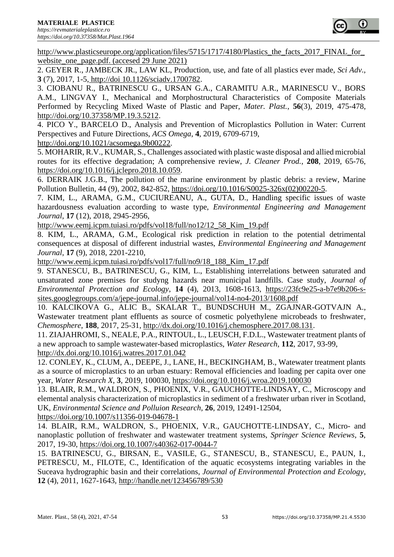

[http://www.plasticseurope.org/application/files/5715/1717/4180/Plastics\\_the\\_facts\\_2017\\_FINAL\\_for\\_](http://www.plasticseurope.org/application/files/5715/1717/4180/Plastics_the_facts_2017_FINAL_for_website_one_page.pdf) [website\\_one\\_page.pdf.](http://www.plasticseurope.org/application/files/5715/1717/4180/Plastics_the_facts_2017_FINAL_for_website_one_page.pdf) (accesed 29 June 2021)

2. GEYER R., JAMBECK JR., LAW KL, Production, use, and fate of all plastics ever made, *Sci Adv*., **3** (7), 2017, 1-5, http://doi 10.1126/sciadv.1700782.

3. CIOBANU R., BATRINESCU G., URSAN G.A., CARAMITU A.R., MARINESCU V., BORS A.M., LINGVAY I., Mechanical and Morphostructural Characteristics of Composite Materials Performed by Recycling Mixed Waste of Plastic and Paper, *Mater. Plast.*, **56**(3), 2019, 475-478, [http://doi.org/10.37358/MP.19.3.5212.](http://doi.org/10.37358/MP.19.3.5212)

4. PICO Y., BARCELO D., Analysis and Prevention of Microplastics Pollution in Water: Current Perspectives and Future Directions, *ACS Omega*, **4**, 2019, 6709-6719,

[http://doi.org/10.1021/acsomega.9b00222.](http://doi.org/10.1021/acsomega.9b00222)

5. MOHARIR, R.V., KUMAR, S., Challenges associated with plastic waste disposal and allied microbial routes for its effective degradation; A comprehensive review, *J. Cleaner Prod.*, **208**, 2019, 65-76, [https://doi.org/10.1016/j.jclepro.2018.10.059.](https://doi.org/10.1016/j.jclepro.2018.10.059)

6. DERRAIK J.G.B., The pollution of the marine environment by plastic debris: a review, Marine Pollution Bulletin, 44 (9), 2002, 842-852, [https://doi.org/10.1016/S0025-326x\(02\)00220-5.](https://doi.org/10.1016/S0025-326x(02)00220-5)

7. KIM, L., ARAMA, G.M., CUCIUREANU, A., GUTA, D., Handling specific issues of waste hazardousness evaluation according to waste type, *Environmental Engineering and Management Journal*, **17** (12), 2018, 2945-2956,

[http://www.eemj.icpm.tuiasi.ro/pdfs/vol18/full/no12/12\\_58\\_Kim\\_19.pdf](http://www.eemj.icpm.tuiasi.ro/pdfs/vol18/full/no12/12_58_Kim_19.pdf)

8. KIM, L., ARAMA, G.M., Ecological risk prediction in relation to the potential detrimental consequences at disposal of different industrial wastes, *Environmental Engineering and Management Journal*, **17** (9), 2018, 2201-2210,

[http://www.eemj.icpm.tuiasi.ro/pdfs/vol17/full/no9/18\\_188\\_Kim\\_17.pdf](http://www.eemj.icpm.tuiasi.ro/pdfs/vol17/full/no9/18_188_Kim_17.pdf)

9. STANESCU, B., BATRINESCU, G., KIM, L., Establishing interrelations between saturated and unsaturated zone premises for studyng hazards near municipal landfills. Case study, *Journal of Environmental Protection and Ecology*, **14** (4), 2013, 1608-1613, [https://23fc9e25-a-b7e9b206-s](https://23fc9e25-a-b7e9b206-s-sites.googlegroups.com/a/jepe-journal.info/jepe-journal/vol14-no4-2013/1608.pdf)[sites.googlegroups.com/a/jepe-journal.info/jepe-journal/vol14-no4-2013/1608.pdf](https://23fc9e25-a-b7e9b206-s-sites.googlegroups.com/a/jepe-journal.info/jepe-journal/vol14-no4-2013/1608.pdf)

10. KALCIKOVA G., ALIC B., SKALAR T., BUNDSCHUH M., ZGAJNAR-GOTVAJN A., Wastewater treatment plant effluents as source of cosmetic polyethylene microbeads to freshwater*, Chemosphere*, **188**, 2017, 25-31, [http://dx.doi.org/10.1016/j.chemosphere.2017.08.131.](http://dx.doi.org/10.1016/j.chemosphere.2017.08.131)

11. ZIAJAHROMI, S., NEALE, P.A., RINTOUL, L., LEUSCH, F.D.L., Wastewater treatment plants of a new approach to sample wastewater-based microplastics, *Water Research*, **112**, 2017, 93-99, <http://dx.doi.org/10.1016/j.watres.2017.01.042>

12. CONLEY, K., CLUM, A., DEEPE, J., LANE, H., BECKINGHAM, B., Watewater treatment plants as a source of microplastics to an urban estuary: Removal efficiencies and loading per capita over one year, *Water Research X*, **3**, 2019, 100030,<https://doi.org/10.1016/j.wroa.2019.100030>

13. BLAIR, R.M., WALDRON, S., PHOENIX, V.R., GAUCHOTTE-LINDSAY, C., Microscopy and elemental analysis characterization of microplastics in sediment of a freshwater urban river in Scotland, UK, *Environmental Science and Polluion Research*, **26**, 2019, 12491-12504,

<https://doi.org/10.1007/s11356-019-04678-1>

14. BLAIR, R.M., WALDRON, S., PHOENIX, V.R., GAUCHOTTE-LINDSAY, C., Micro- and nanoplastic pollution of freshwater and wastewater treatment systems, *Springer Science Reviews*, **5**, 2017, 19-30,<https://doi.org.10.1007/s40362-017-0044-7>

15. BATRINESCU, G., BIRSAN, E., VASILE, G., STANESCU, B., STANESCU, E., PAUN, I., PETRESCU, M., FILOTE, C., Identification of the aquatic ecosystems integrating variables in the Suceava hydrographic basin and their correlations, *Journal of Environmental Protection and Ecology*, **12** (4), 2011, 1627-1643,<http://handle.net/123456789/530>